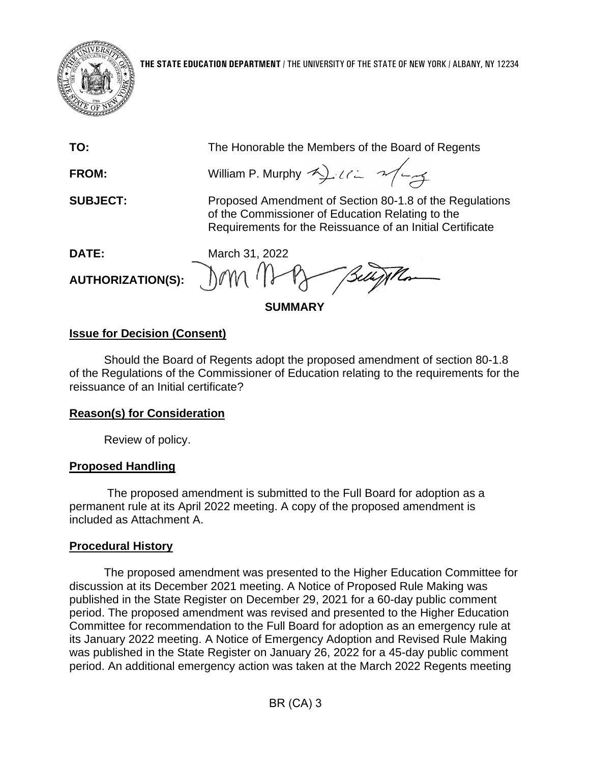

**TO:** The Honorable the Members of the Board of Regents

**FROM:** William P. Murphy  $\rightarrow$   $\rightarrow$   $\rightarrow$   $\rightarrow$ 

**SUBJECT:** Proposed Amendment of Section 80-1.8 of the Regulations of the Commissioner of Education Relating to the Requirements for the Reissuance of an Initial Certificate

**AUTHORIZATION(S):**

**DATE:** March 31, 2022  $\gamma$ 

**SUMMARY**

## **Issue for Decision (Consent)**

Should the Board of Regents adopt the proposed amendment of section 80-1.8 of the Regulations of the Commissioner of Education relating to the requirements for the reissuance of an Initial certificate?

# **Reason(s) for Consideration**

Review of policy.

# **Proposed Handling**

The proposed amendment is submitted to the Full Board for adoption as a permanent rule at its April 2022 meeting. A copy of the proposed amendment is included as Attachment A.

# **Procedural History**

The proposed amendment was presented to the Higher Education Committee for discussion at its December 2021 meeting. A Notice of Proposed Rule Making was published in the State Register on December 29, 2021 for a 60-day public comment period. The proposed amendment was revised and presented to the Higher Education Committee for recommendation to the Full Board for adoption as an emergency rule at its January 2022 meeting. A Notice of Emergency Adoption and Revised Rule Making was published in the State Register on January 26, 2022 for a 45-day public comment period. An additional emergency action was taken at the March 2022 Regents meeting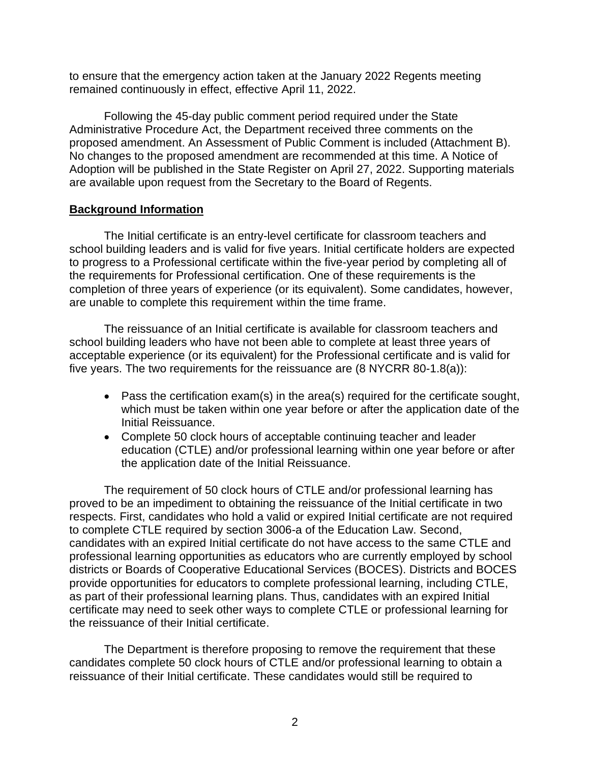to ensure that the emergency action taken at the January 2022 Regents meeting remained continuously in effect, effective April 11, 2022.

Following the 45-day public comment period required under the State Administrative Procedure Act, the Department received three comments on the proposed amendment. An Assessment of Public Comment is included (Attachment B). No changes to the proposed amendment are recommended at this time. A Notice of Adoption will be published in the State Register on April 27, 2022. Supporting materials are available upon request from the Secretary to the Board of Regents.

#### **Background Information**

The Initial certificate is an entry-level certificate for classroom teachers and school building leaders and is valid for five years. Initial certificate holders are expected to progress to a Professional certificate within the five-year period by completing all of the requirements for Professional certification. One of these requirements is the completion of three years of experience (or its equivalent). Some candidates, however, are unable to complete this requirement within the time frame.

The reissuance of an Initial certificate is available for classroom teachers and school building leaders who have not been able to complete at least three years of acceptable experience (or its equivalent) for the Professional certificate and is valid for five years. The two requirements for the reissuance are (8 NYCRR 80-1.8(a)):

- Pass the certification exam(s) in the area(s) required for the certificate sought, which must be taken within one year before or after the application date of the Initial Reissuance.
- Complete 50 clock hours of acceptable continuing teacher and leader education (CTLE) and/or professional learning within one year before or after the application date of the Initial Reissuance.

The requirement of 50 clock hours of CTLE and/or professional learning has proved to be an impediment to obtaining the reissuance of the Initial certificate in two respects. First, candidates who hold a valid or expired Initial certificate are not required to complete CTLE required by section 3006-a of the Education Law. Second, candidates with an expired Initial certificate do not have access to the same CTLE and professional learning opportunities as educators who are currently employed by school districts or Boards of Cooperative Educational Services (BOCES). Districts and BOCES provide opportunities for educators to complete professional learning, including CTLE, as part of their professional learning plans. Thus, candidates with an expired Initial certificate may need to seek other ways to complete CTLE or professional learning for the reissuance of their Initial certificate.

The Department is therefore proposing to remove the requirement that these candidates complete 50 clock hours of CTLE and/or professional learning to obtain a reissuance of their Initial certificate. These candidates would still be required to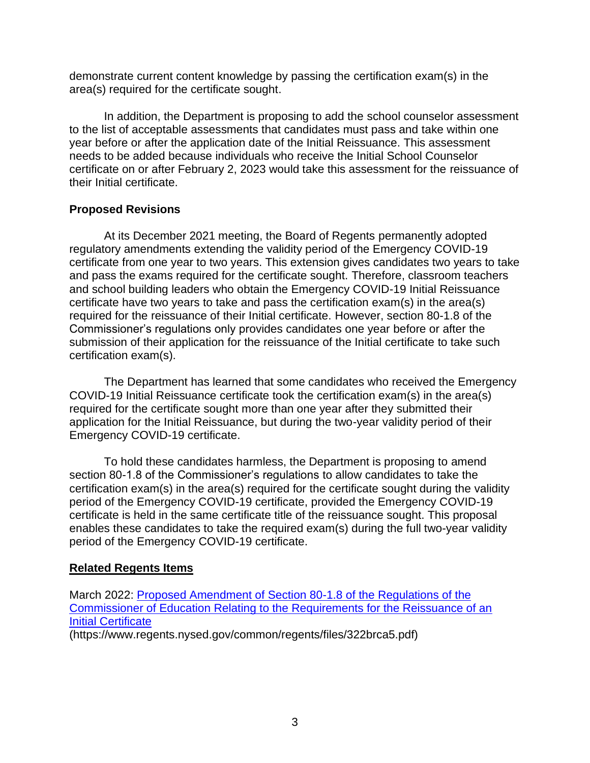demonstrate current content knowledge by passing the certification exam(s) in the area(s) required for the certificate sought.

In addition, the Department is proposing to add the school counselor assessment to the list of acceptable assessments that candidates must pass and take within one year before or after the application date of the Initial Reissuance. This assessment needs to be added because individuals who receive the Initial School Counselor certificate on or after February 2, 2023 would take this assessment for the reissuance of their Initial certificate.

### **Proposed Revisions**

At its December 2021 meeting, the Board of Regents permanently adopted regulatory amendments extending the validity period of the Emergency COVID-19 certificate from one year to two years. This extension gives candidates two years to take and pass the exams required for the certificate sought. Therefore, classroom teachers and school building leaders who obtain the Emergency COVID-19 Initial Reissuance certificate have two years to take and pass the certification exam(s) in the area(s) required for the reissuance of their Initial certificate. However, section 80-1.8 of the Commissioner's regulations only provides candidates one year before or after the submission of their application for the reissuance of the Initial certificate to take such certification exam(s).

The Department has learned that some candidates who received the Emergency COVID-19 Initial Reissuance certificate took the certification exam(s) in the area(s) required for the certificate sought more than one year after they submitted their application for the Initial Reissuance, but during the two-year validity period of their Emergency COVID-19 certificate.

To hold these candidates harmless, the Department is proposing to amend section 80-1.8 of the Commissioner's regulations to allow candidates to take the certification exam(s) in the area(s) required for the certificate sought during the validity period of the Emergency COVID-19 certificate, provided the Emergency COVID-19 certificate is held in the same certificate title of the reissuance sought. This proposal enables these candidates to take the required exam(s) during the full two-year validity period of the Emergency COVID-19 certificate.

## **Related Regents Items**

March 2022: [Proposed Amendment of Section 80-1.8 of the Regulations of the](https://www.regents.nysed.gov/common/regents/files/322brca5.pdf)  [Commissioner of Education Relating to the Requirements for the Reissuance of an](https://www.regents.nysed.gov/common/regents/files/322brca5.pdf)  [Initial Certificate](https://www.regents.nysed.gov/common/regents/files/322brca5.pdf) (https://www.regents.nysed.gov/common/regents/files/322brca5.pdf)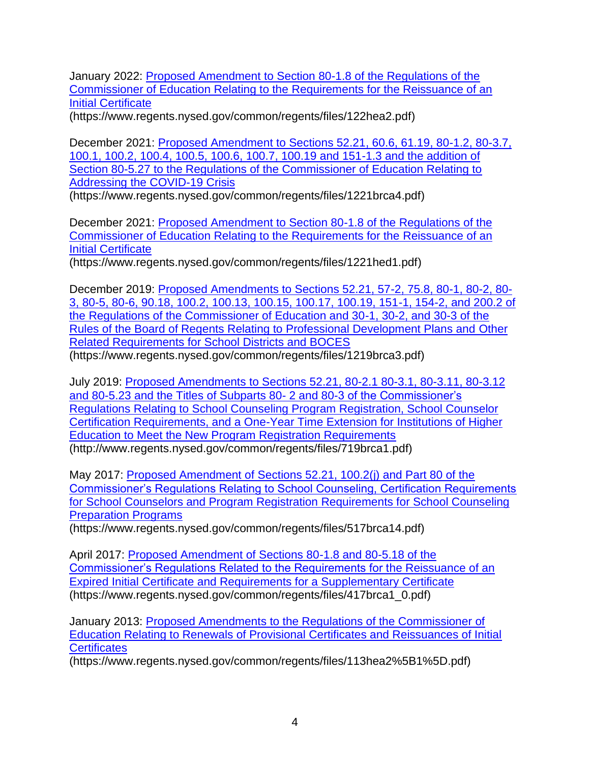January 2022: [Proposed Amendment to Section 80-1.8 of the Regulations of the](https://www.regents.nysed.gov/common/regents/files/122hea2.pdf)  [Commissioner of Education Relating to the Requirements for the Reissuance of an](https://www.regents.nysed.gov/common/regents/files/122hea2.pdf)  [Initial Certificate](https://www.regents.nysed.gov/common/regents/files/122hea2.pdf)

(https://www.regents.nysed.gov/common/regents/files/122hea2.pdf)

December 2021: [Proposed Amendment to Sections 52.21, 60.6, 61.19, 80-1.2, 80-3.7,](https://www.regents.nysed.gov/common/regents/files/1221brca4.pdf)  [100.1, 100.2, 100.4, 100.5, 100.6, 100.7, 100.19 and 151-1.3 and the addition of](https://www.regents.nysed.gov/common/regents/files/1221brca4.pdf)  [Section 80-5.27 to the Regulations of the Commissioner of Education Relating to](https://www.regents.nysed.gov/common/regents/files/1221brca4.pdf)  [Addressing the COVID-19 Crisis](https://www.regents.nysed.gov/common/regents/files/1221brca4.pdf)

(https://www.regents.nysed.gov/common/regents/files/1221brca4.pdf)

December 2021: [Proposed Amendment to Section 80-1.8 of the Regulations of the](https://www.regents.nysed.gov/common/regents/files/1221hed1.pdf)  [Commissioner of Education Relating to the Requirements for the Reissuance of an](https://www.regents.nysed.gov/common/regents/files/1221hed1.pdf)  [Initial Certificate](https://www.regents.nysed.gov/common/regents/files/1221hed1.pdf)

(https://www.regents.nysed.gov/common/regents/files/1221hed1.pdf)

December 2019: [Proposed Amendments to Sections 52.21, 57-2, 75.8, 80-1,](https://www.regents.nysed.gov/common/regents/files/1219brca3.pdf) 80-2, 80- [3, 80-5, 80-6, 90.18, 100.2, 100.13, 100.15, 100.17, 100.19, 151-1, 154-2, and 200.2 of](https://www.regents.nysed.gov/common/regents/files/1219brca3.pdf)  [the Regulations of the Commissioner of Education and 30-1, 30-2, and 30-3 of the](https://www.regents.nysed.gov/common/regents/files/1219brca3.pdf)  [Rules of the Board of Regents Relating to Professional Development Plans and Other](https://www.regents.nysed.gov/common/regents/files/1219brca3.pdf)  [Related Requirements for School Districts and BOCES](https://www.regents.nysed.gov/common/regents/files/1219brca3.pdf) (https://www.regents.nysed.gov/common/regents/files/1219brca3.pdf)

July 2019: [Proposed Amendments to Sections 52.21, 80-2.1 80-3.1, 80-3.11, 80-3.12](http://www.regents.nysed.gov/common/regents/files/719brca1.pdf)  [and 80-5.23 and the Titles of Subparts 80-](http://www.regents.nysed.gov/common/regents/files/719brca1.pdf) 2 and 80-3 of the Commissioner's [Regulations Relating to School Counseling Program Registration, School Counselor](http://www.regents.nysed.gov/common/regents/files/719brca1.pdf)  [Certification Requirements, and a One-Year Time Extension for Institutions of Higher](http://www.regents.nysed.gov/common/regents/files/719brca1.pdf)  [Education to Meet the New Program Registration Requirements](http://www.regents.nysed.gov/common/regents/files/719brca1.pdf) (http://www.regents.nysed.gov/common/regents/files/719brca1.pdf)

May 2017: [Proposed Amendment of Sections 52.21, 100.2\(j\) and Part 80 of the](https://www.regents.nysed.gov/common/regents/files/517brca14.pdf)  [Commissioner's Regulations Relating to School Counseling, Certification Requirements](https://www.regents.nysed.gov/common/regents/files/517brca14.pdf)  [for School Counselors and Program Registration Requirements for School Counseling](https://www.regents.nysed.gov/common/regents/files/517brca14.pdf)  [Preparation Programs](https://www.regents.nysed.gov/common/regents/files/517brca14.pdf)

(https://www.regents.nysed.gov/common/regents/files/517brca14.pdf)

April 2017: [Proposed Amendment of Sections 80-1.8 and 80-5.18 of the](https://www.regents.nysed.gov/common/regents/files/417brca1_0.pdf)  [Commissioner's Regulations Related to the Requirements for the Reissuance of an](https://www.regents.nysed.gov/common/regents/files/417brca1_0.pdf)  [Expired Initial Certificate and Requirements for a Supplementary Certificate](https://www.regents.nysed.gov/common/regents/files/417brca1_0.pdf) (https://www.regents.nysed.gov/common/regents/files/417brca1\_0.pdf)

January 2013: [Proposed Amendments to the Regulations of the Commissioner of](https://www.regents.nysed.gov/common/regents/files/113hea2%5B1%5D.pdf)  [Education Relating to Renewals of Provisional Certificates and Reissuances of Initial](https://www.regents.nysed.gov/common/regents/files/113hea2%5B1%5D.pdf)  **[Certificates](https://www.regents.nysed.gov/common/regents/files/113hea2%5B1%5D.pdf)** 

(https://www.regents.nysed.gov/common/regents/files/113hea2%5B1%5D.pdf)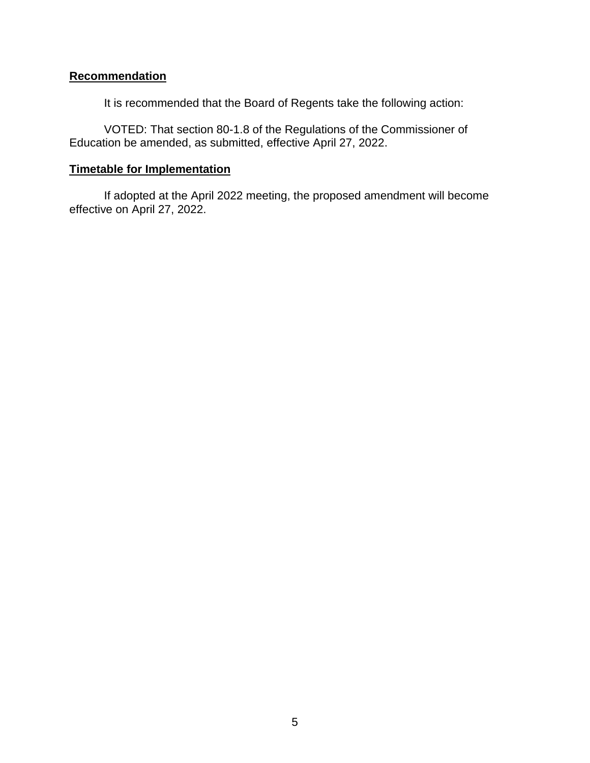## **Recommendation**

It is recommended that the Board of Regents take the following action:

VOTED: That section 80-1.8 of the Regulations of the Commissioner of Education be amended, as submitted, effective April 27, 2022.

### **Timetable for Implementation**

If adopted at the April 2022 meeting, the proposed amendment will become effective on April 27, 2022.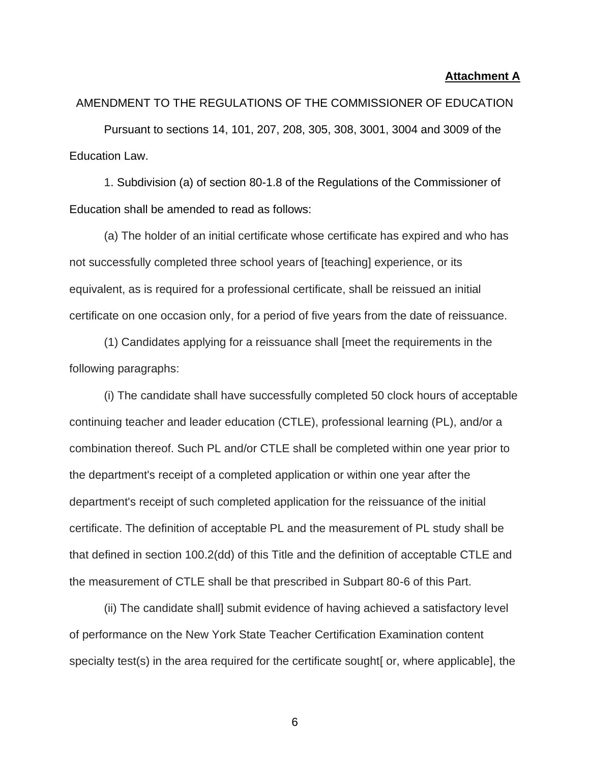#### **Attachment A**

# AMENDMENT TO THE REGULATIONS OF THE COMMISSIONER OF EDUCATION

Pursuant to sections 14, 101, 207, 208, 305, 308, 3001, 3004 and 3009 of the Education Law.

1. Subdivision (a) of section 80-1.8 of the Regulations of the Commissioner of Education shall be amended to read as follows:

(a) The holder of an initial certificate whose certificate has expired and who has not successfully completed three school years of [teaching] experience, or its equivalent, as is required for a professional certificate, shall be reissued an initial certificate on one occasion only, for a period of five years from the date of reissuance.

(1) Candidates applying for a reissuance shall [meet the requirements in the following paragraphs:

(i) The candidate shall have successfully completed 50 clock hours of acceptable continuing teacher and leader education (CTLE), professional learning (PL), and/or a combination thereof. Such PL and/or CTLE shall be completed within one year prior to the department's receipt of a completed application or within one year after the department's receipt of such completed application for the reissuance of the initial certificate. The definition of acceptable PL and the measurement of PL study shall be that defined in section 100.2(dd) of this Title and the definition of acceptable CTLE and the measurement of CTLE shall be that prescribed in Subpart 80-6 of this Part.

(ii) The candidate shall] submit evidence of having achieved a satisfactory level of performance on the New York State Teacher Certification Examination content specialty test(s) in the area required for the certificate sought [or, where applicable], the

6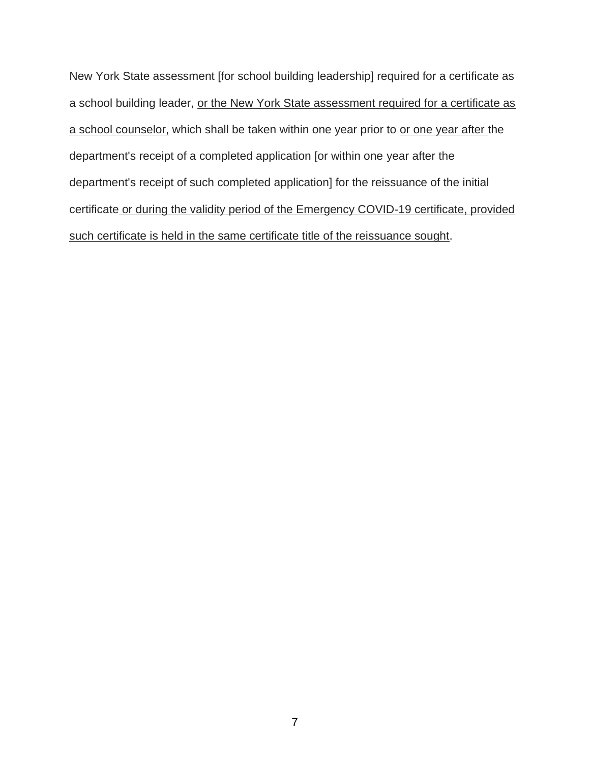New York State assessment [for school building leadership] required for a certificate as a school building leader, or the New York State assessment required for a certificate as a school counselor, which shall be taken within one year prior to or one year after the department's receipt of a completed application [or within one year after the department's receipt of such completed application] for the reissuance of the initial certificate or during the validity period of the Emergency COVID-19 certificate, provided such certificate is held in the same certificate title of the reissuance sought.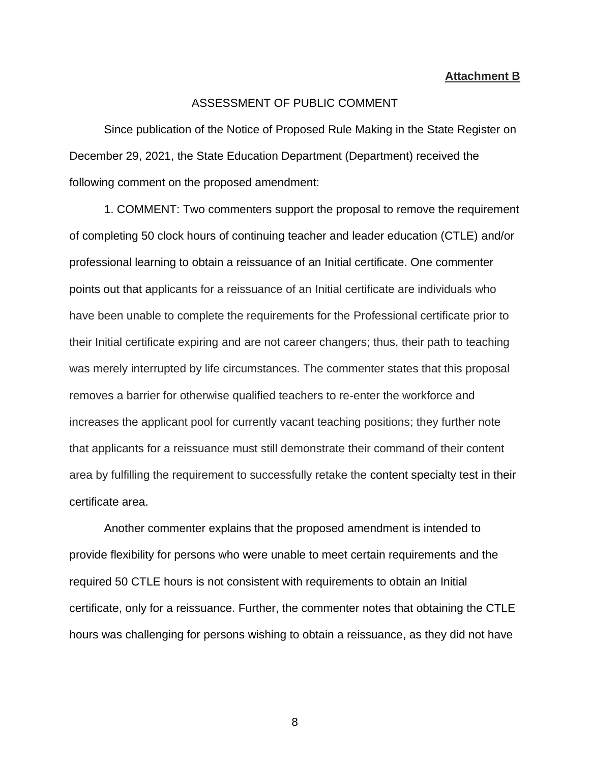#### **Attachment B**

#### ASSESSMENT OF PUBLIC COMMENT

Since publication of the Notice of Proposed Rule Making in the State Register on December 29, 2021, the State Education Department (Department) received the following comment on the proposed amendment:

1. COMMENT: Two commenters support the proposal to remove the requirement of completing 50 clock hours of continuing teacher and leader education (CTLE) and/or professional learning to obtain a reissuance of an Initial certificate. One commenter points out that applicants for a reissuance of an Initial certificate are individuals who have been unable to complete the requirements for the Professional certificate prior to their Initial certificate expiring and are not career changers; thus, their path to teaching was merely interrupted by life circumstances. The commenter states that this proposal removes a barrier for otherwise qualified teachers to re-enter the workforce and increases the applicant pool for currently vacant teaching positions; they further note that applicants for a reissuance must still demonstrate their command of their content area by fulfilling the requirement to successfully retake the content specialty test in their certificate area.

Another commenter explains that the proposed amendment is intended to provide flexibility for persons who were unable to meet certain requirements and the required 50 CTLE hours is not consistent with requirements to obtain an Initial certificate, only for a reissuance. Further, the commenter notes that obtaining the CTLE hours was challenging for persons wishing to obtain a reissuance, as they did not have

8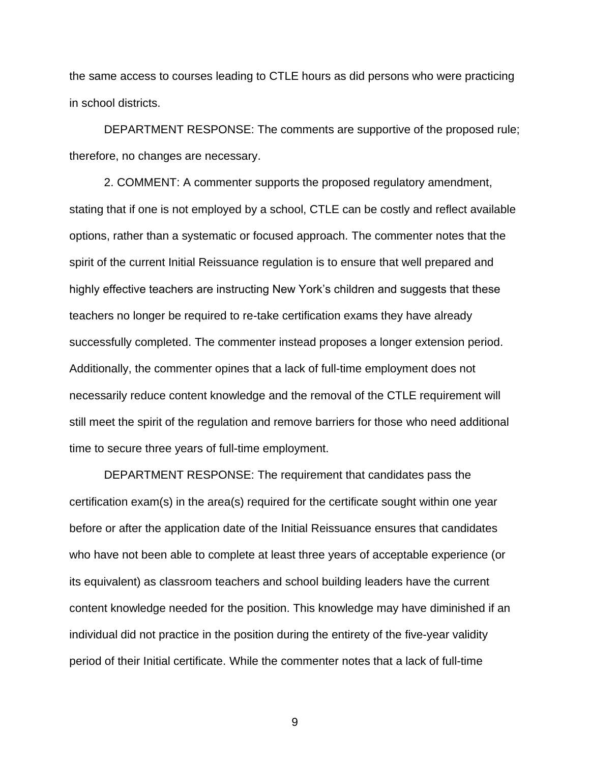the same access to courses leading to CTLE hours as did persons who were practicing in school districts.

DEPARTMENT RESPONSE: The comments are supportive of the proposed rule; therefore, no changes are necessary.

2. COMMENT: A commenter supports the proposed regulatory amendment, stating that if one is not employed by a school, CTLE can be costly and reflect available options, rather than a systematic or focused approach. The commenter notes that the spirit of the current Initial Reissuance regulation is to ensure that well prepared and highly effective teachers are instructing New York's children and suggests that these teachers no longer be required to re-take certification exams they have already successfully completed. The commenter instead proposes a longer extension period. Additionally, the commenter opines that a lack of full-time employment does not necessarily reduce content knowledge and the removal of the CTLE requirement will still meet the spirit of the regulation and remove barriers for those who need additional time to secure three years of full-time employment.

DEPARTMENT RESPONSE: The requirement that candidates pass the certification exam(s) in the area(s) required for the certificate sought within one year before or after the application date of the Initial Reissuance ensures that candidates who have not been able to complete at least three years of acceptable experience (or its equivalent) as classroom teachers and school building leaders have the current content knowledge needed for the position. This knowledge may have diminished if an individual did not practice in the position during the entirety of the five-year validity period of their Initial certificate. While the commenter notes that a lack of full-time

9